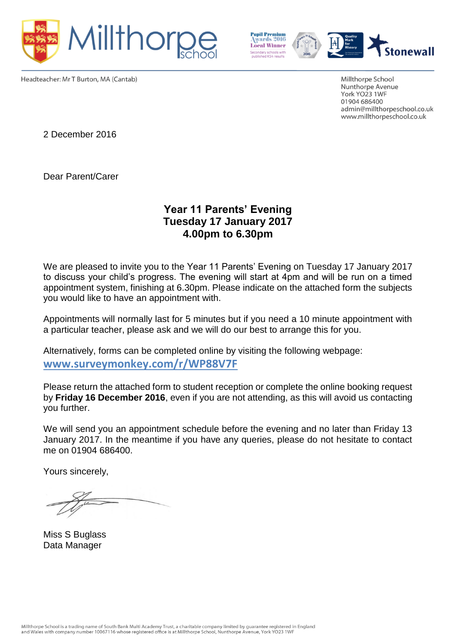



Headteacher: Mr T Burton, MA (Cantab)

Millthorpe School Nunthorpe Avenue York YO23 1WF 01904 686400 admin@millthorpeschool.co.uk www.millthorpeschool.co.uk

2 December 2016

Dear Parent/Carer

## **Year 11 Parents' Evening Tuesday 17 January 2017 4.00pm to 6.30pm**

We are pleased to invite you to the Year 11 Parents' Evening on Tuesday 17 January 2017 to discuss your child's progress. The evening will start at 4pm and will be run on a timed appointment system, finishing at 6.30pm. Please indicate on the attached form the subjects you would like to have an appointment with.

Appointments will normally last for 5 minutes but if you need a 10 minute appointment with a particular teacher, please ask and we will do our best to arrange this for you.

Alternatively, forms can be completed online by visiting the following webpage: **[www.surveymonkey.com/r/WP88V7F](http://www.surveymonkey.com/r/WP88V7F)**

Please return the attached form to student reception or complete the online booking request by **Friday 16 December 2016**, even if you are not attending, as this will avoid us contacting you further.

We will send you an appointment schedule before the evening and no later than Friday 13 January 2017. In the meantime if you have any queries, please do not hesitate to contact me on 01904 686400.

Yours sincerely,

Miss S Buglass Data Manager